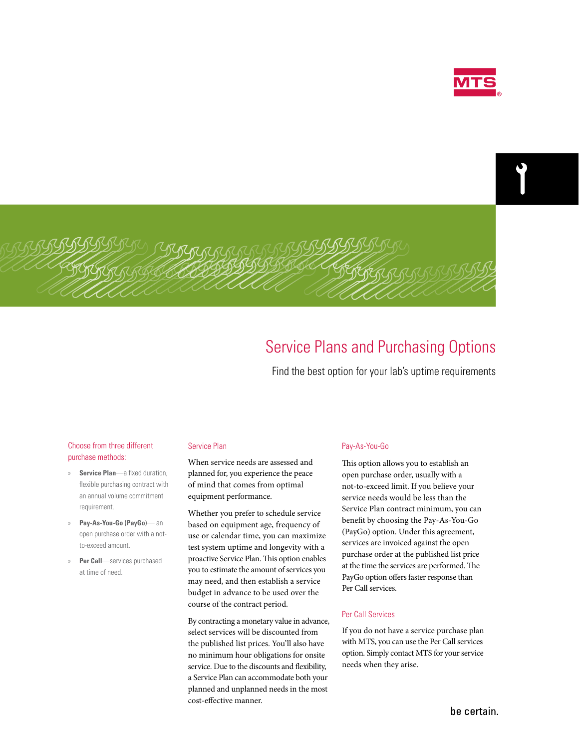

# Service Plans and Purchasing Options

Find the best option for your lab's uptime requirements

# Choose from three different purchase methods:

- » **Service Plan**—a fixed duration, flexible purchasing contract with an annual volume commitment requirement.
- » **Pay-As-You-Go (PayGo)** an open purchase order with a notto-exceed amount.
- » **Per Call**—services purchased at time of need.

### Service Plan

When service needs are assessed and planned for, you experience the peace of mind that comes from optimal equipment performance.

Whether you prefer to schedule service based on equipment age, frequency of use or calendar time, you can maximize test system uptime and longevity with a proactive Service Plan. This option enables you to estimate the amount of services you may need, and then establish a service budget in advance to be used over the course of the contract period.

By contracting a monetary value in advance, select services will be discounted from the published list prices. You'll also have no minimum hour obligations for onsite service. Due to the discounts and flexibility, a Service Plan can accommodate both your planned and unplanned needs in the most cost-effective manner.

#### Pay-As-You-Go

This option allows you to establish an open purchase order, usually with a not-to-exceed limit. If you believe your service needs would be less than the Service Plan contract minimum, you can benefit by choosing the Pay-As-You-Go (PayGo) option. Under this agreement, services are invoiced against the open purchase order at the published list price at the time the services are performed. The PayGo option offers faster response than Per Call services.

## Per Call Services

If you do not have a service purchase plan with MTS, you can use the Per Call services option. Simply contact MTS for your service needs when they arise.